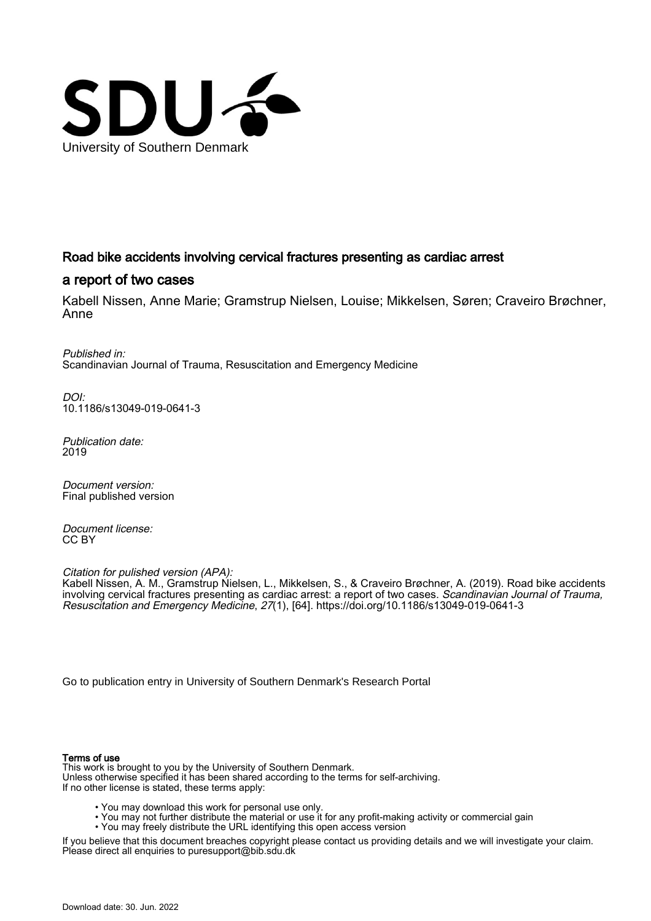

# Road bike accidents involving cervical fractures presenting as cardiac arrest

# a report of two cases

Kabell Nissen, Anne Marie; Gramstrup Nielsen, Louise; Mikkelsen, Søren; Craveiro Brøchner, Anne

Published in: Scandinavian Journal of Trauma, Resuscitation and Emergency Medicine

 $D$ [10.1186/s13049-019-0641-3](https://doi.org/10.1186/s13049-019-0641-3)

Publication date: 2019

Document version: Final published version

Document license: CC BY

Citation for pulished version (APA):

Kabell Nissen, A. M., Gramstrup Nielsen, L., Mikkelsen, S., & Craveiro Brøchner, A. (2019). Road bike accidents involving cervical fractures presenting as cardiac arrest: a report of two cases. Scandinavian Journal of Trauma, Resuscitation and Emergency Medicine, 27(1), [64].<https://doi.org/10.1186/s13049-019-0641-3>

[Go to publication entry in University of Southern Denmark's Research Portal](https://portal.findresearcher.sdu.dk/en/publications/c32eaa64-832a-4f74-8273-83b1821a1b2f)

## Terms of use

This work is brought to you by the University of Southern Denmark. Unless otherwise specified it has been shared according to the terms for self-archiving. If no other license is stated, these terms apply:

- You may download this work for personal use only.
- You may not further distribute the material or use it for any profit-making activity or commercial gain
- You may freely distribute the URL identifying this open access version

If you believe that this document breaches copyright please contact us providing details and we will investigate your claim. Please direct all enquiries to puresupport@bib.sdu.dk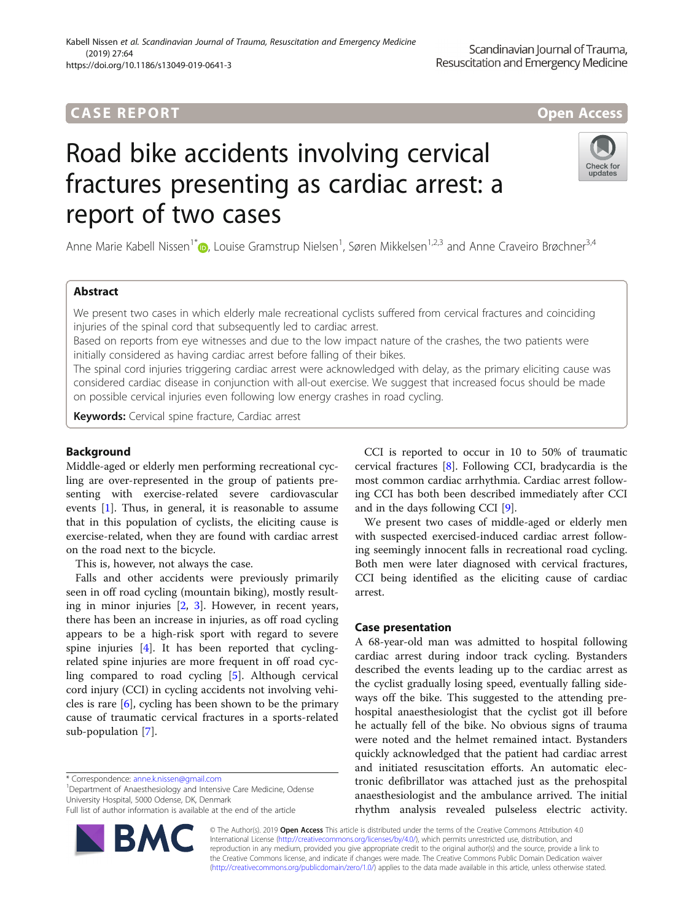# **CASE REPORT And Access**  $\sim$  000  $\sim$  000  $\sim$  0000  $\sim$  0000 Access

# Road bike accidents involving cervical fractures presenting as cardiac arrest: a report of two cases

Anne Marie Kabell Nissen<sup>1\*</sup> <sub>(b</sub>[,](http://orcid.org/0000-0002-0428-3779) Louise Gramstrup Nielsen<sup>1</sup>, Søren Mikkelsen<sup>1,2,3</sup> and Anne Craveiro Brøchner<sup>3,4</sup>

# Abstract

We present two cases in which elderly male recreational cyclists suffered from cervical fractures and coinciding injuries of the spinal cord that subsequently led to cardiac arrest.

Based on reports from eye witnesses and due to the low impact nature of the crashes, the two patients were initially considered as having cardiac arrest before falling of their bikes.

The spinal cord injuries triggering cardiac arrest were acknowledged with delay, as the primary eliciting cause was considered cardiac disease in conjunction with all-out exercise. We suggest that increased focus should be made on possible cervical injuries even following low energy crashes in road cycling.

**Keywords:** Cervical spine fracture, Cardiac arrest

## Background

Middle-aged or elderly men performing recreational cycling are over-represented in the group of patients presenting with exercise-related severe cardiovascular events [[1\]](#page-3-0). Thus, in general, it is reasonable to assume that in this population of cyclists, the eliciting cause is exercise-related, when they are found with cardiac arrest on the road next to the bicycle.

This is, however, not always the case.

Falls and other accidents were previously primarily seen in off road cycling (mountain biking), mostly resulting in minor injuries [[2,](#page-3-0) [3](#page-3-0)]. However, in recent years, there has been an increase in injuries, as off road cycling appears to be a high-risk sport with regard to severe spine injuries [\[4\]](#page-3-0). It has been reported that cyclingrelated spine injuries are more frequent in off road cycling compared to road cycling [\[5](#page-3-0)]. Although cervical cord injury (CCI) in cycling accidents not involving vehicles is rare [\[6](#page-3-0)], cycling has been shown to be the primary cause of traumatic cervical fractures in a sports-related sub-population [[7\]](#page-3-0).

\* Correspondence: [anne.k.nissen@gmail.com](mailto:anne.k.nissen@gmail.com) <sup>1</sup>

Department of Anaesthesiology and Intensive Care Medicine, Odense University Hospital, 5000 Odense, DK, Denmark

Full list of author information is available at the end of the article

© The Author(s). 2019 Open Access This article is distributed under the terms of the Creative Commons Attribution 4.0 International License [\(http://creativecommons.org/licenses/by/4.0/](http://creativecommons.org/licenses/by/4.0/)), which permits unrestricted use, distribution, and reproduction in any medium, provided you give appropriate credit to the original author(s) and the source, provide a link to the Creative Commons license, and indicate if changes were made. The Creative Commons Public Domain Dedication waiver [\(http://creativecommons.org/publicdomain/zero/1.0/](http://creativecommons.org/publicdomain/zero/1.0/)) applies to the data made available in this article, unless otherwise stated.

CCI is reported to occur in 10 to 50% of traumatic cervical fractures [[8\]](#page-3-0). Following CCI, bradycardia is the most common cardiac arrhythmia. Cardiac arrest following CCI has both been described immediately after CCI and in the days following CCI [[9](#page-3-0)].

We present two cases of middle-aged or elderly men with suspected exercised-induced cardiac arrest following seemingly innocent falls in recreational road cycling. Both men were later diagnosed with cervical fractures, CCI being identified as the eliciting cause of cardiac arrest.

## Case presentation

A 68-year-old man was admitted to hospital following cardiac arrest during indoor track cycling. Bystanders described the events leading up to the cardiac arrest as the cyclist gradually losing speed, eventually falling sideways off the bike. This suggested to the attending prehospital anaesthesiologist that the cyclist got ill before he actually fell of the bike. No obvious signs of trauma were noted and the helmet remained intact. Bystanders quickly acknowledged that the patient had cardiac arrest and initiated resuscitation efforts. An automatic electronic defibrillator was attached just as the prehospital anaesthesiologist and the ambulance arrived. The initial rhythm analysis revealed pulseless electric activity.



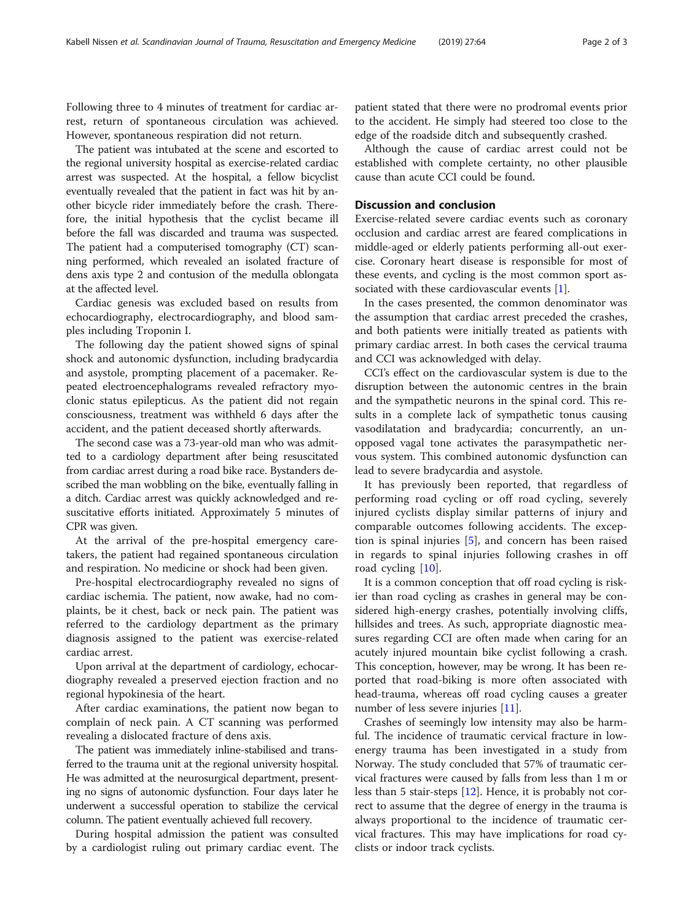Following three to 4 minutes of treatment for cardiac arrest, return of spontaneous circulation was achieved. However, spontaneous respiration did not return.

The patient was intubated at the scene and escorted to the regional university hospital as exercise-related cardiac arrest was suspected. At the hospital, a fellow bicyclist eventually revealed that the patient in fact was hit by another bicycle rider immediately before the crash. Therefore, the initial hypothesis that the cyclist became ill before the fall was discarded and trauma was suspected. The patient had a computerised tomography (CT) scanning performed, which revealed an isolated fracture of dens axis type 2 and contusion of the medulla oblongata at the affected level.

Cardiac genesis was excluded based on results from echocardiography, electrocardiography, and blood samples including Troponin I.

The following day the patient showed signs of spinal shock and autonomic dysfunction, including bradycardia and asystole, prompting placement of a pacemaker. Repeated electroencephalograms revealed refractory myoclonic status epilepticus. As the patient did not regain consciousness, treatment was withheld 6 days after the accident, and the patient deceased shortly afterwards.

The second case was a 73-year-old man who was admitted to a cardiology department after being resuscitated from cardiac arrest during a road bike race. Bystanders described the man wobbling on the bike, eventually falling in a ditch. Cardiac arrest was quickly acknowledged and resuscitative efforts initiated. Approximately 5 minutes of CPR was given.

At the arrival of the pre-hospital emergency caretakers, the patient had regained spontaneous circulation and respiration. No medicine or shock had been given.

Pre-hospital electrocardiography revealed no signs of cardiac ischemia. The patient, now awake, had no complaints, be it chest, back or neck pain. The patient was referred to the cardiology department as the primary diagnosis assigned to the patient was exercise-related cardiac arrest.

Upon arrival at the department of cardiology, echocardiography revealed a preserved ejection fraction and no regional hypokinesia of the heart.

After cardiac examinations, the patient now began to complain of neck pain. A CT scanning was performed revealing a dislocated fracture of dens axis.

The patient was immediately inline-stabilised and transferred to the trauma unit at the regional university hospital. He was admitted at the neurosurgical department, presenting no signs of autonomic dysfunction. Four days later he underwent a successful operation to stabilize the cervical column. The patient eventually achieved full recovery.

During hospital admission the patient was consulted by a cardiologist ruling out primary cardiac event. The patient stated that there were no prodromal events prior to the accident. He simply had steered too close to the edge of the roadside ditch and subsequently crashed.

Although the cause of cardiac arrest could not be established with complete certainty, no other plausible cause than acute CCI could be found.

### Discussion and conclusion

Exercise-related severe cardiac events such as coronary occlusion and cardiac arrest are feared complications in middle-aged or elderly patients performing all-out exercise. Coronary heart disease is responsible for most of these events, and cycling is the most common sport as-sociated with these cardiovascular events [\[1\]](#page-3-0).

In the cases presented, the common denominator was the assumption that cardiac arrest preceded the crashes, and both patients were initially treated as patients with primary cardiac arrest. In both cases the cervical trauma and CCI was acknowledged with delay.

CCI's effect on the cardiovascular system is due to the disruption between the autonomic centres in the brain and the sympathetic neurons in the spinal cord. This results in a complete lack of sympathetic tonus causing vasodilatation and bradycardia; concurrently, an unopposed vagal tone activates the parasympathetic nervous system. This combined autonomic dysfunction can lead to severe bradycardia and asystole.

It has previously been reported, that regardless of performing road cycling or off road cycling, severely injured cyclists display similar patterns of injury and comparable outcomes following accidents. The exception is spinal injuries [[5\]](#page-3-0), and concern has been raised in regards to spinal injuries following crashes in off road cycling [[10\]](#page-3-0).

It is a common conception that off road cycling is riskier than road cycling as crashes in general may be considered high-energy crashes, potentially involving cliffs, hillsides and trees. As such, appropriate diagnostic measures regarding CCI are often made when caring for an acutely injured mountain bike cyclist following a crash. This conception, however, may be wrong. It has been reported that road-biking is more often associated with head-trauma, whereas off road cycling causes a greater number of less severe injuries [[11](#page-3-0)].

Crashes of seemingly low intensity may also be harmful. The incidence of traumatic cervical fracture in lowenergy trauma has been investigated in a study from Norway. The study concluded that 57% of traumatic cervical fractures were caused by falls from less than 1 m or less than 5 stair-steps [\[12\]](#page-3-0). Hence, it is probably not correct to assume that the degree of energy in the trauma is always proportional to the incidence of traumatic cervical fractures. This may have implications for road cyclists or indoor track cyclists.